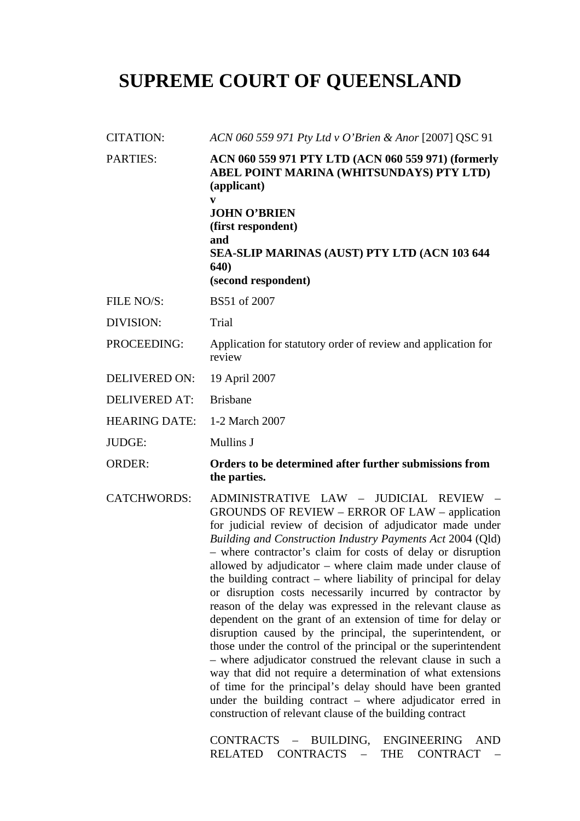# **SUPREME COURT OF QUEENSLAND**

| <b>CITATION:</b>     | ACN 060 559 971 Pty Ltd v O'Brien & Anor [2007] QSC 91                                                                                                                                                                                                                                                                                                                                                                                                                                                                                                                                                                                                                                                                                                                                                                                                                                                                                                                                                                                                                                                                        |  |
|----------------------|-------------------------------------------------------------------------------------------------------------------------------------------------------------------------------------------------------------------------------------------------------------------------------------------------------------------------------------------------------------------------------------------------------------------------------------------------------------------------------------------------------------------------------------------------------------------------------------------------------------------------------------------------------------------------------------------------------------------------------------------------------------------------------------------------------------------------------------------------------------------------------------------------------------------------------------------------------------------------------------------------------------------------------------------------------------------------------------------------------------------------------|--|
| <b>PARTIES:</b>      | ACN 060 559 971 PTY LTD (ACN 060 559 971) (formerly<br>ABEL POINT MARINA (WHITSUNDAYS) PTY LTD)<br>(applicant)<br>V<br><b>JOHN O'BRIEN</b><br>(first respondent)<br>and<br>SEA-SLIP MARINAS (AUST) PTY LTD (ACN 103 644<br><b>640</b> )<br>(second respondent)                                                                                                                                                                                                                                                                                                                                                                                                                                                                                                                                                                                                                                                                                                                                                                                                                                                                |  |
| FILE NO/S:           | BS51 of 2007                                                                                                                                                                                                                                                                                                                                                                                                                                                                                                                                                                                                                                                                                                                                                                                                                                                                                                                                                                                                                                                                                                                  |  |
| DIVISION:            | Trial                                                                                                                                                                                                                                                                                                                                                                                                                                                                                                                                                                                                                                                                                                                                                                                                                                                                                                                                                                                                                                                                                                                         |  |
| PROCEEDING:          | Application for statutory order of review and application for<br>review                                                                                                                                                                                                                                                                                                                                                                                                                                                                                                                                                                                                                                                                                                                                                                                                                                                                                                                                                                                                                                                       |  |
| <b>DELIVERED ON:</b> | 19 April 2007                                                                                                                                                                                                                                                                                                                                                                                                                                                                                                                                                                                                                                                                                                                                                                                                                                                                                                                                                                                                                                                                                                                 |  |
| <b>DELIVERED AT:</b> | <b>Brisbane</b>                                                                                                                                                                                                                                                                                                                                                                                                                                                                                                                                                                                                                                                                                                                                                                                                                                                                                                                                                                                                                                                                                                               |  |
| <b>HEARING DATE:</b> | 1-2 March 2007                                                                                                                                                                                                                                                                                                                                                                                                                                                                                                                                                                                                                                                                                                                                                                                                                                                                                                                                                                                                                                                                                                                |  |
| <b>JUDGE:</b>        | Mullins J                                                                                                                                                                                                                                                                                                                                                                                                                                                                                                                                                                                                                                                                                                                                                                                                                                                                                                                                                                                                                                                                                                                     |  |
| <b>ORDER:</b>        | Orders to be determined after further submissions from<br>the parties.                                                                                                                                                                                                                                                                                                                                                                                                                                                                                                                                                                                                                                                                                                                                                                                                                                                                                                                                                                                                                                                        |  |
| <b>CATCHWORDS:</b>   | ADMINISTRATIVE LAW - JUDICIAL REVIEW -<br>GROUNDS OF REVIEW – ERROR OF LAW – application<br>for judicial review of decision of adjudicator made under<br>Building and Construction Industry Payments Act 2004 (Qld)<br>- where contractor's claim for costs of delay or disruption<br>allowed by adjudicator – where claim made under clause of<br>the building contract - where liability of principal for delay<br>or disruption costs necessarily incurred by contractor by<br>reason of the delay was expressed in the relevant clause as<br>dependent on the grant of an extension of time for delay or<br>disruption caused by the principal, the superintendent, or<br>those under the control of the principal or the superintendent<br>- where adjudicator construed the relevant clause in such a<br>way that did not require a determination of what extensions<br>of time for the principal's delay should have been granted<br>under the building contract $-$ where adjudicator erred in<br>construction of relevant clause of the building contract<br><b>CONTRACTS</b><br>BUILDING, ENGINEERING<br><b>AND</b> |  |

RELATED CONTRACTS – THE CONTRACT –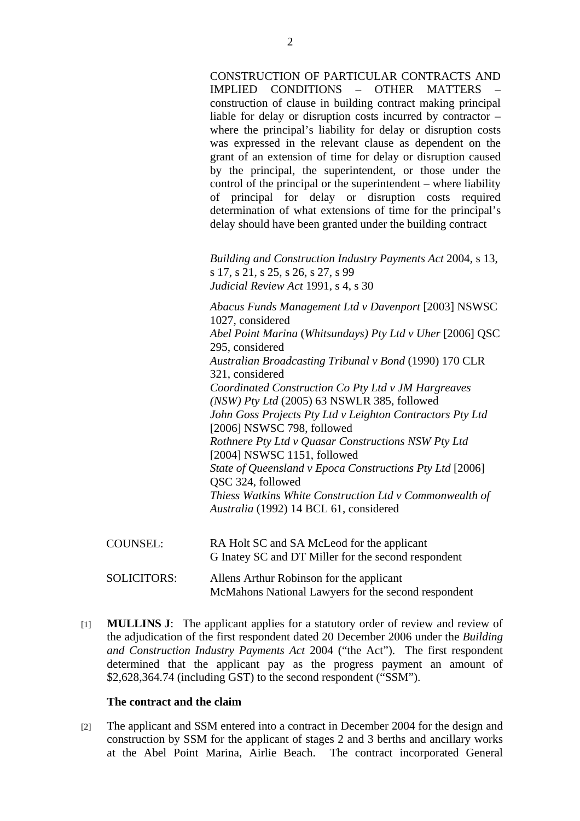CONSTRUCTION OF PARTICULAR CONTRACTS AND IMPLIED CONDITIONS – OTHER MATTERS – construction of clause in building contract making principal liable for delay or disruption costs incurred by contractor – where the principal's liability for delay or disruption costs was expressed in the relevant clause as dependent on the grant of an extension of time for delay or disruption caused by the principal, the superintendent, or those under the control of the principal or the superintendent – where liability of principal for delay or disruption costs required determination of what extensions of time for the principal's delay should have been granted under the building contract

*Building and Construction Industry Payments Act* 2004, s 13, s 17, s 21, s 25, s 26, s 27, s 99 *Judicial Review Act* 1991, s 4, s 30

*Abacus Funds Management Ltd v Davenport* [2003] NSWSC 1027, considered *Abel Point Marina* (*Whitsundays) Pty Ltd v Uher* [2006] QSC 295, considered *Australian Broadcasting Tribunal v Bond* (1990) 170 CLR 321, considered *Coordinated Construction Co Pty Ltd v JM Hargreaves (NSW) Pty Ltd* (2005) 63 NSWLR 385, followed *John Goss Projects Pty Ltd v Leighton Contractors Pty Ltd*  [2006] NSWSC 798, followed *Rothnere Pty Ltd v Quasar Constructions NSW Pty Ltd*  [2004] NSWSC 1151, followed *State of Queensland v Epoca Constructions Pty Ltd* [2006] QSC 324, followed *Thiess Watkins White Construction Ltd v Commonwealth of Australia* (1992) 14 BCL 61, considered

- COUNSEL: RA Holt SC and SA McLeod for the applicant G Inatey SC and DT Miller for the second respondent
- SOLICITORS: Allens Arthur Robinson for the applicant McMahons National Lawyers for the second respondent
- [1] **MULLINS J**: The applicant applies for a statutory order of review and review of the adjudication of the first respondent dated 20 December 2006 under the *Building and Construction Industry Payments Act* 2004 ("the Act"). The first respondent determined that the applicant pay as the progress payment an amount of \$2,628,364.74 (including GST) to the second respondent ("SSM").

## **The contract and the claim**

[2] The applicant and SSM entered into a contract in December 2004 for the design and construction by SSM for the applicant of stages 2 and 3 berths and ancillary works at the Abel Point Marina, Airlie Beach. The contract incorporated General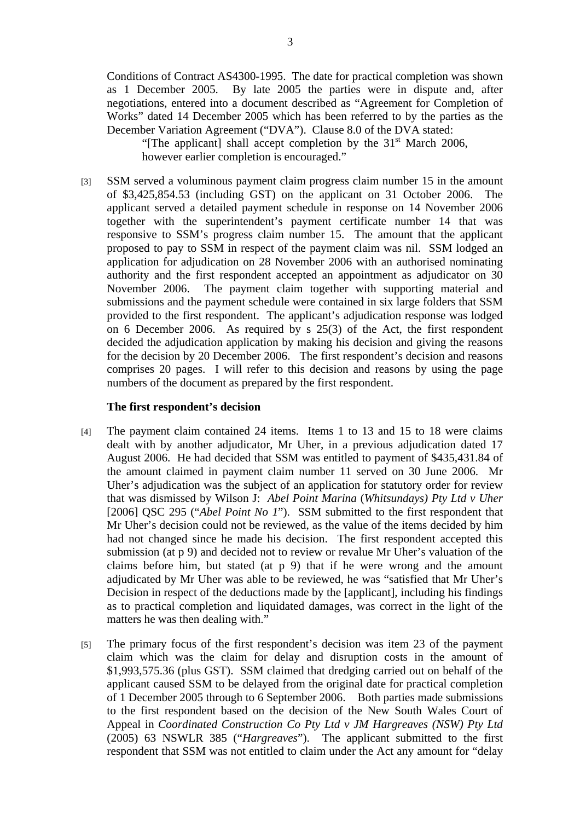Conditions of Contract AS4300-1995. The date for practical completion was shown as 1 December 2005. By late 2005 the parties were in dispute and, after negotiations, entered into a document described as "Agreement for Completion of Works" dated 14 December 2005 which has been referred to by the parties as the December Variation Agreement ("DVA"). Clause 8.0 of the DVA stated:

"[The applicant] shall accept completion by the  $31<sup>st</sup>$  March 2006, however earlier completion is encouraged."

[3] SSM served a voluminous payment claim progress claim number 15 in the amount of \$3,425,854.53 (including GST) on the applicant on 31 October 2006. The applicant served a detailed payment schedule in response on 14 November 2006 together with the superintendent's payment certificate number 14 that was responsive to SSM's progress claim number 15. The amount that the applicant proposed to pay to SSM in respect of the payment claim was nil. SSM lodged an application for adjudication on 28 November 2006 with an authorised nominating authority and the first respondent accepted an appointment as adjudicator on 30 November 2006. The payment claim together with supporting material and submissions and the payment schedule were contained in six large folders that SSM provided to the first respondent. The applicant's adjudication response was lodged on 6 December 2006. As required by s 25(3) of the Act, the first respondent decided the adjudication application by making his decision and giving the reasons for the decision by 20 December 2006. The first respondent's decision and reasons comprises 20 pages. I will refer to this decision and reasons by using the page numbers of the document as prepared by the first respondent.

#### **The first respondent's decision**

- [4] The payment claim contained 24 items. Items 1 to 13 and 15 to 18 were claims dealt with by another adjudicator, Mr Uher, in a previous adjudication dated 17 August 2006. He had decided that SSM was entitled to payment of \$435,431.84 of the amount claimed in payment claim number 11 served on 30 June 2006. Mr Uher's adjudication was the subject of an application for statutory order for review that was dismissed by Wilson J: *Abel Point Marina* (*Whitsundays) Pty Ltd v Uher*  [2006] QSC 295 ("*Abel Point No 1*"). SSM submitted to the first respondent that Mr Uher's decision could not be reviewed, as the value of the items decided by him had not changed since he made his decision. The first respondent accepted this submission (at p 9) and decided not to review or revalue Mr Uher's valuation of the claims before him, but stated (at p 9) that if he were wrong and the amount adjudicated by Mr Uher was able to be reviewed, he was "satisfied that Mr Uher's Decision in respect of the deductions made by the [applicant], including his findings as to practical completion and liquidated damages, was correct in the light of the matters he was then dealing with."
- [5] The primary focus of the first respondent's decision was item 23 of the payment claim which was the claim for delay and disruption costs in the amount of \$1,993,575.36 (plus GST). SSM claimed that dredging carried out on behalf of the applicant caused SSM to be delayed from the original date for practical completion of 1 December 2005 through to 6 September 2006. Both parties made submissions to the first respondent based on the decision of the New South Wales Court of Appeal in *Coordinated Construction Co Pty Ltd v JM Hargreaves (NSW) Pty Ltd* (2005) 63 NSWLR 385 ("*Hargreaves*"). The applicant submitted to the first respondent that SSM was not entitled to claim under the Act any amount for "delay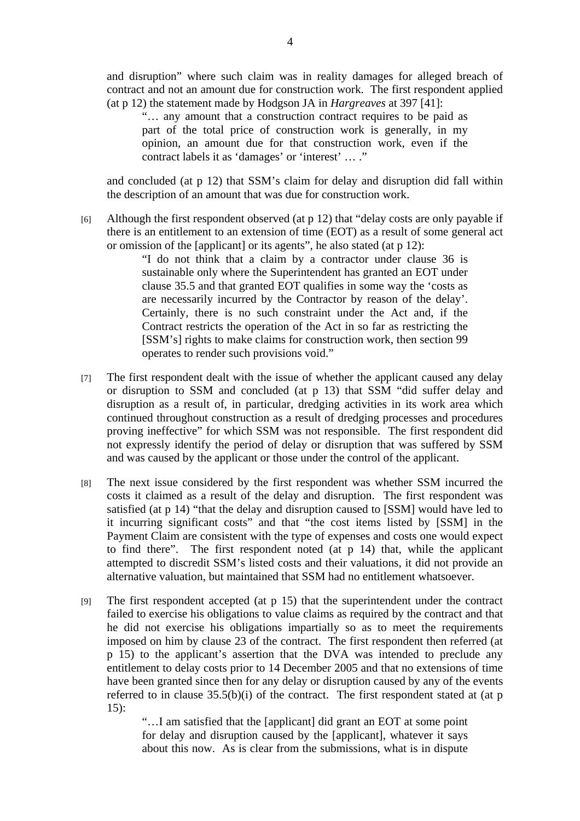and disruption" where such claim was in reality damages for alleged breach of contract and not an amount due for construction work. The first respondent applied (at p 12) the statement made by Hodgson JA in *Hargreaves* at 397 [41]:

"… any amount that a construction contract requires to be paid as part of the total price of construction work is generally, in my opinion, an amount due for that construction work, even if the contract labels it as 'damages' or 'interest' … ."

and concluded (at p 12) that SSM's claim for delay and disruption did fall within the description of an amount that was due for construction work.

[6] Although the first respondent observed (at p 12) that "delay costs are only payable if there is an entitlement to an extension of time (EOT) as a result of some general act or omission of the [applicant] or its agents", he also stated (at p 12):

"I do not think that a claim by a contractor under clause 36 is sustainable only where the Superintendent has granted an EOT under clause 35.5 and that granted EOT qualifies in some way the 'costs as are necessarily incurred by the Contractor by reason of the delay'. Certainly, there is no such constraint under the Act and, if the Contract restricts the operation of the Act in so far as restricting the [SSM's] rights to make claims for construction work, then section 99 operates to render such provisions void."

- [7] The first respondent dealt with the issue of whether the applicant caused any delay or disruption to SSM and concluded (at p 13) that SSM "did suffer delay and disruption as a result of, in particular, dredging activities in its work area which continued throughout construction as a result of dredging processes and procedures proving ineffective" for which SSM was not responsible. The first respondent did not expressly identify the period of delay or disruption that was suffered by SSM and was caused by the applicant or those under the control of the applicant.
- [8] The next issue considered by the first respondent was whether SSM incurred the costs it claimed as a result of the delay and disruption. The first respondent was satisfied (at p 14) "that the delay and disruption caused to [SSM] would have led to it incurring significant costs" and that "the cost items listed by [SSM] in the Payment Claim are consistent with the type of expenses and costs one would expect to find there". The first respondent noted (at p 14) that, while the applicant attempted to discredit SSM's listed costs and their valuations, it did not provide an alternative valuation, but maintained that SSM had no entitlement whatsoever.
- [9] The first respondent accepted (at p 15) that the superintendent under the contract failed to exercise his obligations to value claims as required by the contract and that he did not exercise his obligations impartially so as to meet the requirements imposed on him by clause 23 of the contract. The first respondent then referred (at p 15) to the applicant's assertion that the DVA was intended to preclude any entitlement to delay costs prior to 14 December 2005 and that no extensions of time have been granted since then for any delay or disruption caused by any of the events referred to in clause 35.5(b)(i) of the contract. The first respondent stated at (at p 15):

"…I am satisfied that the [applicant] did grant an EOT at some point for delay and disruption caused by the [applicant], whatever it says about this now. As is clear from the submissions, what is in dispute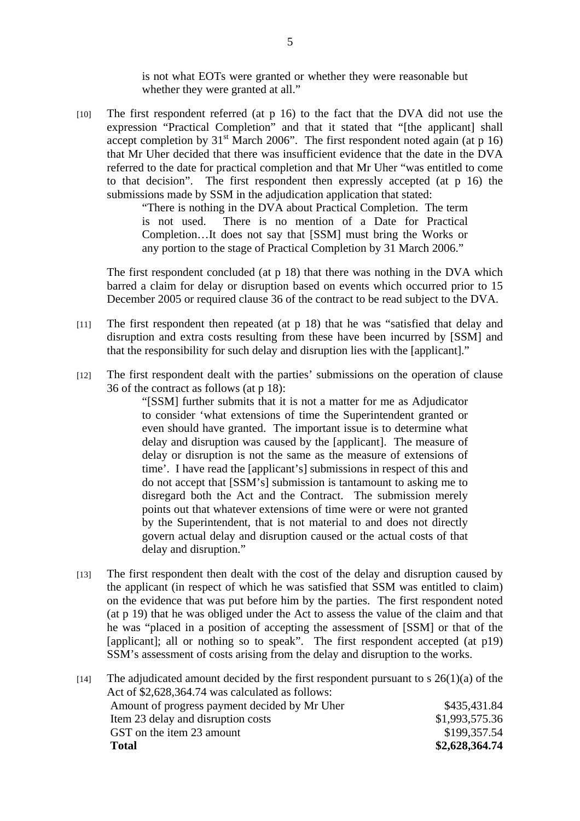is not what EOTs were granted or whether they were reasonable but whether they were granted at all."

 $[10]$  The first respondent referred (at p 16) to the fact that the DVA did not use the expression "Practical Completion" and that it stated that "[the applicant] shall accept completion by  $31<sup>st</sup>$  March 2006". The first respondent noted again (at p 16) that Mr Uher decided that there was insufficient evidence that the date in the DVA referred to the date for practical completion and that Mr Uher "was entitled to come to that decision". The first respondent then expressly accepted (at p 16) the submissions made by SSM in the adjudication application that stated:

> "There is nothing in the DVA about Practical Completion. The term is not used. There is no mention of a Date for Practical Completion…It does not say that [SSM] must bring the Works or any portion to the stage of Practical Completion by 31 March 2006."

The first respondent concluded (at  $p(18)$ ) that there was nothing in the DVA which barred a claim for delay or disruption based on events which occurred prior to 15 December 2005 or required clause 36 of the contract to be read subject to the DVA.

- [11] The first respondent then repeated (at p 18) that he was "satisfied that delay and disruption and extra costs resulting from these have been incurred by [SSM] and that the responsibility for such delay and disruption lies with the [applicant]."
- [12] The first respondent dealt with the parties' submissions on the operation of clause 36 of the contract as follows (at p 18):

"[SSM] further submits that it is not a matter for me as Adjudicator to consider 'what extensions of time the Superintendent granted or even should have granted. The important issue is to determine what delay and disruption was caused by the [applicant]. The measure of delay or disruption is not the same as the measure of extensions of time'. I have read the [applicant's] submissions in respect of this and do not accept that [SSM's] submission is tantamount to asking me to disregard both the Act and the Contract. The submission merely points out that whatever extensions of time were or were not granted by the Superintendent, that is not material to and does not directly govern actual delay and disruption caused or the actual costs of that delay and disruption."

[13] The first respondent then dealt with the cost of the delay and disruption caused by the applicant (in respect of which he was satisfied that SSM was entitled to claim) on the evidence that was put before him by the parties. The first respondent noted (at p 19) that he was obliged under the Act to assess the value of the claim and that he was "placed in a position of accepting the assessment of [SSM] or that of the [applicant]; all or nothing so to speak". The first respondent accepted (at p19) SSM's assessment of costs arising from the delay and disruption to the works.

|      | <b>Total</b>                                                                              | \$2,628,364.74 |  |
|------|-------------------------------------------------------------------------------------------|----------------|--|
|      | GST on the item 23 amount                                                                 | \$199,357.54   |  |
|      | Item 23 delay and disruption costs                                                        | \$1,993,575.36 |  |
|      | Amount of progress payment decided by Mr Uher                                             | \$435,431.84   |  |
|      | Act of \$2,628,364.74 was calculated as follows:                                          |                |  |
| [14] | The adjudicated amount decided by the first respondent pursuant to $s \, 26(1)(a)$ of the |                |  |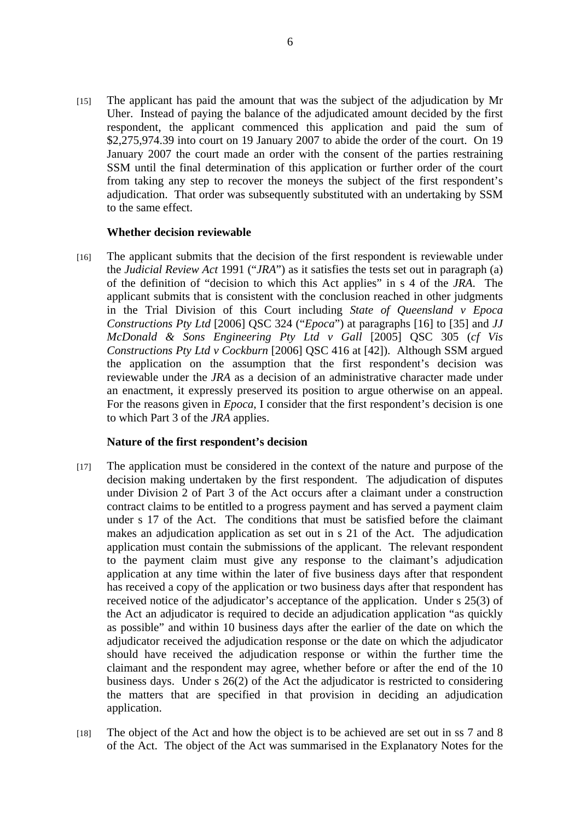[15] The applicant has paid the amount that was the subject of the adjudication by Mr Uher. Instead of paying the balance of the adjudicated amount decided by the first respondent, the applicant commenced this application and paid the sum of \$2,275,974.39 into court on 19 January 2007 to abide the order of the court. On 19 January 2007 the court made an order with the consent of the parties restraining SSM until the final determination of this application or further order of the court from taking any step to recover the moneys the subject of the first respondent's adjudication. That order was subsequently substituted with an undertaking by SSM to the same effect.

### **Whether decision reviewable**

[16] The applicant submits that the decision of the first respondent is reviewable under the *Judicial Review Act* 1991 ("*JRA*") as it satisfies the tests set out in paragraph (a) of the definition of "decision to which this Act applies" in s 4 of the *JRA*. The applicant submits that is consistent with the conclusion reached in other judgments in the Trial Division of this Court including *State of Queensland v Epoca Constructions Pty Ltd* [2006] QSC 324 ("*Epoca*") at paragraphs [16] to [35] and *JJ McDonald & Sons Engineering Pty Ltd v Gall* [2005] QSC 305 (*cf Vis Constructions Pty Ltd v Cockburn* [2006] QSC 416 at [42]). Although SSM argued the application on the assumption that the first respondent's decision was reviewable under the *JRA* as a decision of an administrative character made under an enactment, it expressly preserved its position to argue otherwise on an appeal. For the reasons given in *Epoca*, I consider that the first respondent's decision is one to which Part 3 of the *JRA* applies.

#### **Nature of the first respondent's decision**

- [17] The application must be considered in the context of the nature and purpose of the decision making undertaken by the first respondent. The adjudication of disputes under Division 2 of Part 3 of the Act occurs after a claimant under a construction contract claims to be entitled to a progress payment and has served a payment claim under s 17 of the Act. The conditions that must be satisfied before the claimant makes an adjudication application as set out in s 21 of the Act. The adjudication application must contain the submissions of the applicant. The relevant respondent to the payment claim must give any response to the claimant's adjudication application at any time within the later of five business days after that respondent has received a copy of the application or two business days after that respondent has received notice of the adjudicator's acceptance of the application. Under s 25(3) of the Act an adjudicator is required to decide an adjudication application "as quickly as possible" and within 10 business days after the earlier of the date on which the adjudicator received the adjudication response or the date on which the adjudicator should have received the adjudication response or within the further time the claimant and the respondent may agree, whether before or after the end of the 10 business days. Under s 26(2) of the Act the adjudicator is restricted to considering the matters that are specified in that provision in deciding an adjudication application.
- [18] The object of the Act and how the object is to be achieved are set out in ss 7 and 8 of the Act. The object of the Act was summarised in the Explanatory Notes for the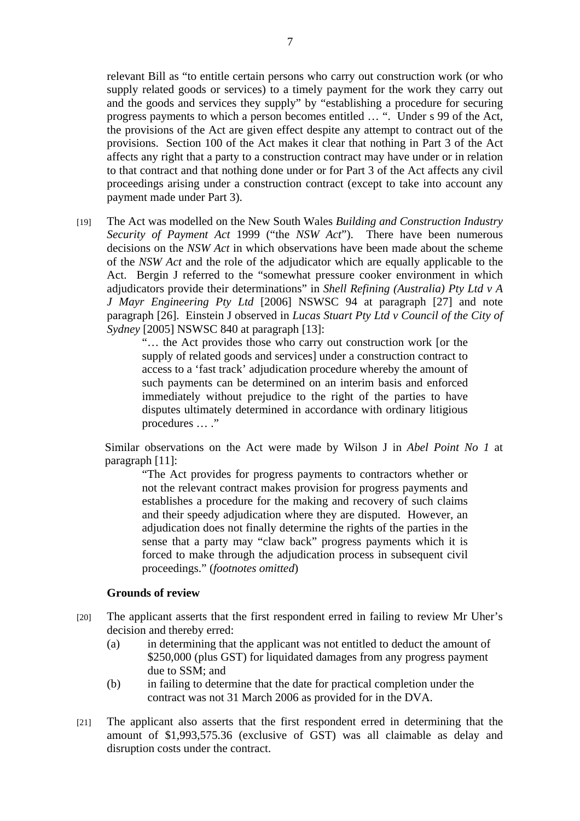relevant Bill as "to entitle certain persons who carry out construction work (or who supply related goods or services) to a timely payment for the work they carry out and the goods and services they supply" by "establishing a procedure for securing progress payments to which a person becomes entitled … ". Under s 99 of the Act, the provisions of the Act are given effect despite any attempt to contract out of the provisions. Section 100 of the Act makes it clear that nothing in Part 3 of the Act affects any right that a party to a construction contract may have under or in relation to that contract and that nothing done under or for Part 3 of the Act affects any civil proceedings arising under a construction contract (except to take into account any payment made under Part 3).

[19] The Act was modelled on the New South Wales *Building and Construction Industry Security of Payment Act* 1999 ("the *NSW Act*"). There have been numerous decisions on the *NSW Act* in which observations have been made about the scheme of the *NSW Act* and the role of the adjudicator which are equally applicable to the Act. Bergin J referred to the "somewhat pressure cooker environment in which adjudicators provide their determinations" in *Shell Refining (Australia) Pty Ltd v A J Mayr Engineering Pty Ltd* [2006] NSWSC 94 at paragraph [27] and note paragraph [26]. Einstein J observed in *Lucas Stuart Pty Ltd v Council of the City of Sydney* [2005] NSWSC 840 at paragraph [13]:

"… the Act provides those who carry out construction work [or the supply of related goods and services] under a construction contract to access to a 'fast track' adjudication procedure whereby the amount of such payments can be determined on an interim basis and enforced immediately without prejudice to the right of the parties to have disputes ultimately determined in accordance with ordinary litigious procedures ... ."

Similar observations on the Act were made by Wilson J in *Abel Point No 1* at paragraph [11]:

"The Act provides for progress payments to contractors whether or not the relevant contract makes provision for progress payments and establishes a procedure for the making and recovery of such claims and their speedy adjudication where they are disputed. However, an adjudication does not finally determine the rights of the parties in the sense that a party may "claw back" progress payments which it is forced to make through the adjudication process in subsequent civil proceedings." (*footnotes omitted*)

# **Grounds of review**

- [20] The applicant asserts that the first respondent erred in failing to review Mr Uher's decision and thereby erred:
	- (a) in determining that the applicant was not entitled to deduct the amount of \$250,000 (plus GST) for liquidated damages from any progress payment due to SSM; and
	- (b) in failing to determine that the date for practical completion under the contract was not 31 March 2006 as provided for in the DVA.
- [21] The applicant also asserts that the first respondent erred in determining that the amount of \$1,993,575.36 (exclusive of GST) was all claimable as delay and disruption costs under the contract.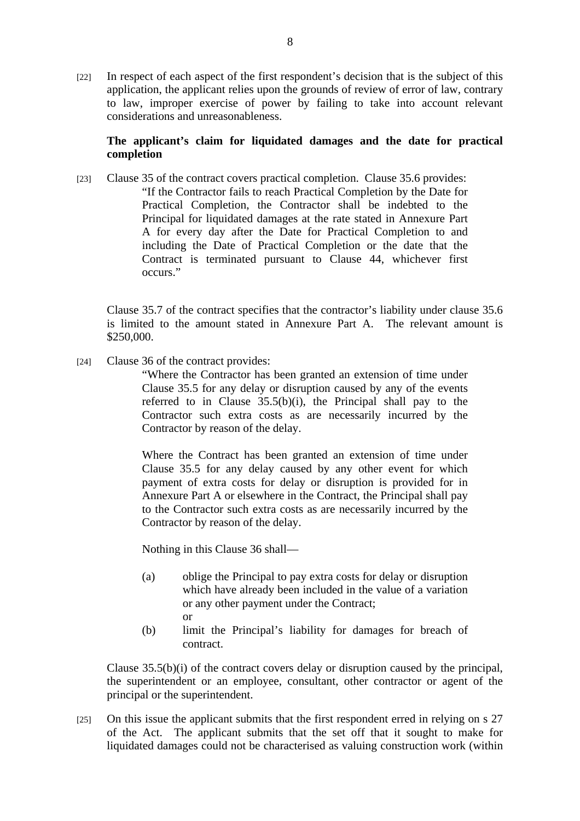[22] In respect of each aspect of the first respondent's decision that is the subject of this application, the applicant relies upon the grounds of review of error of law, contrary to law, improper exercise of power by failing to take into account relevant considerations and unreasonableness.

# **The applicant's claim for liquidated damages and the date for practical completion**

[23] Clause 35 of the contract covers practical completion. Clause 35.6 provides: "If the Contractor fails to reach Practical Completion by the Date for Practical Completion, the Contractor shall be indebted to the Principal for liquidated damages at the rate stated in Annexure Part A for every day after the Date for Practical Completion to and including the Date of Practical Completion or the date that the Contract is terminated pursuant to Clause 44, whichever first occurs."

Clause 35.7 of the contract specifies that the contractor's liability under clause 35.6 is limited to the amount stated in Annexure Part A. The relevant amount is \$250,000.

[24] Clause 36 of the contract provides:

"Where the Contractor has been granted an extension of time under Clause 35.5 for any delay or disruption caused by any of the events referred to in Clause  $35.5(b)(i)$ , the Principal shall pay to the Contractor such extra costs as are necessarily incurred by the Contractor by reason of the delay.

Where the Contract has been granted an extension of time under Clause 35.5 for any delay caused by any other event for which payment of extra costs for delay or disruption is provided for in Annexure Part A or elsewhere in the Contract, the Principal shall pay to the Contractor such extra costs as are necessarily incurred by the Contractor by reason of the delay.

Nothing in this Clause 36 shall—

- (a) oblige the Principal to pay extra costs for delay or disruption which have already been included in the value of a variation or any other payment under the Contract; or
- (b) limit the Principal's liability for damages for breach of contract.

Clause 35.5(b)(i) of the contract covers delay or disruption caused by the principal, the superintendent or an employee, consultant, other contractor or agent of the principal or the superintendent.

[25] On this issue the applicant submits that the first respondent erred in relying on s 27 of the Act. The applicant submits that the set off that it sought to make for liquidated damages could not be characterised as valuing construction work (within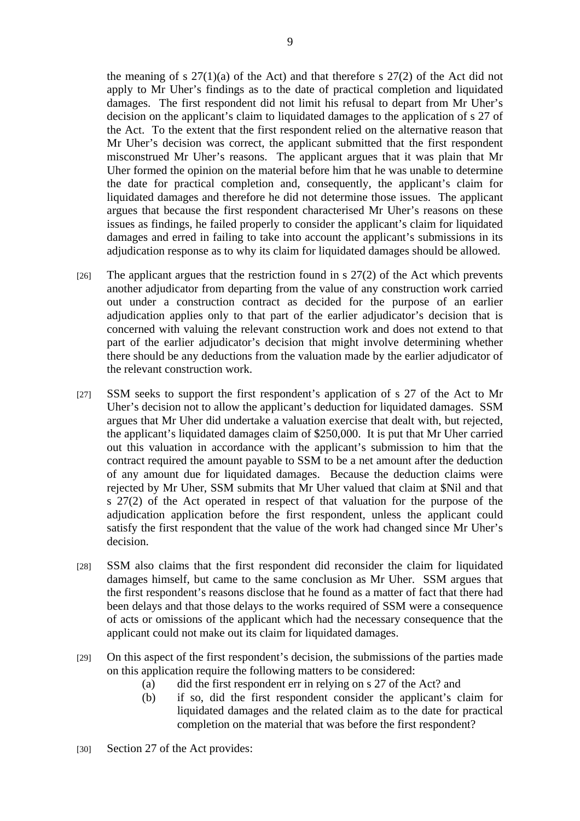the meaning of s  $27(1)(a)$  of the Act) and that therefore s  $27(2)$  of the Act did not apply to Mr Uher's findings as to the date of practical completion and liquidated damages. The first respondent did not limit his refusal to depart from Mr Uher's decision on the applicant's claim to liquidated damages to the application of s 27 of the Act. To the extent that the first respondent relied on the alternative reason that Mr Uher's decision was correct, the applicant submitted that the first respondent misconstrued Mr Uher's reasons. The applicant argues that it was plain that Mr Uher formed the opinion on the material before him that he was unable to determine the date for practical completion and, consequently, the applicant's claim for liquidated damages and therefore he did not determine those issues. The applicant argues that because the first respondent characterised Mr Uher's reasons on these issues as findings, he failed properly to consider the applicant's claim for liquidated damages and erred in failing to take into account the applicant's submissions in its adjudication response as to why its claim for liquidated damages should be allowed.

- [26] The applicant argues that the restriction found in s  $27(2)$  of the Act which prevents another adjudicator from departing from the value of any construction work carried out under a construction contract as decided for the purpose of an earlier adjudication applies only to that part of the earlier adjudicator's decision that is concerned with valuing the relevant construction work and does not extend to that part of the earlier adjudicator's decision that might involve determining whether there should be any deductions from the valuation made by the earlier adjudicator of the relevant construction work.
- [27] SSM seeks to support the first respondent's application of s 27 of the Act to Mr Uher's decision not to allow the applicant's deduction for liquidated damages. SSM argues that Mr Uher did undertake a valuation exercise that dealt with, but rejected, the applicant's liquidated damages claim of \$250,000. It is put that Mr Uher carried out this valuation in accordance with the applicant's submission to him that the contract required the amount payable to SSM to be a net amount after the deduction of any amount due for liquidated damages. Because the deduction claims were rejected by Mr Uher, SSM submits that Mr Uher valued that claim at \$Nil and that s 27(2) of the Act operated in respect of that valuation for the purpose of the adjudication application before the first respondent, unless the applicant could satisfy the first respondent that the value of the work had changed since Mr Uher's decision.
- [28] SSM also claims that the first respondent did reconsider the claim for liquidated damages himself, but came to the same conclusion as Mr Uher. SSM argues that the first respondent's reasons disclose that he found as a matter of fact that there had been delays and that those delays to the works required of SSM were a consequence of acts or omissions of the applicant which had the necessary consequence that the applicant could not make out its claim for liquidated damages.
- [29] On this aspect of the first respondent's decision, the submissions of the parties made on this application require the following matters to be considered:
	- (a) did the first respondent err in relying on s 27 of the Act? and
	- (b) if so, did the first respondent consider the applicant's claim for liquidated damages and the related claim as to the date for practical completion on the material that was before the first respondent?
- [30] Section 27 of the Act provides: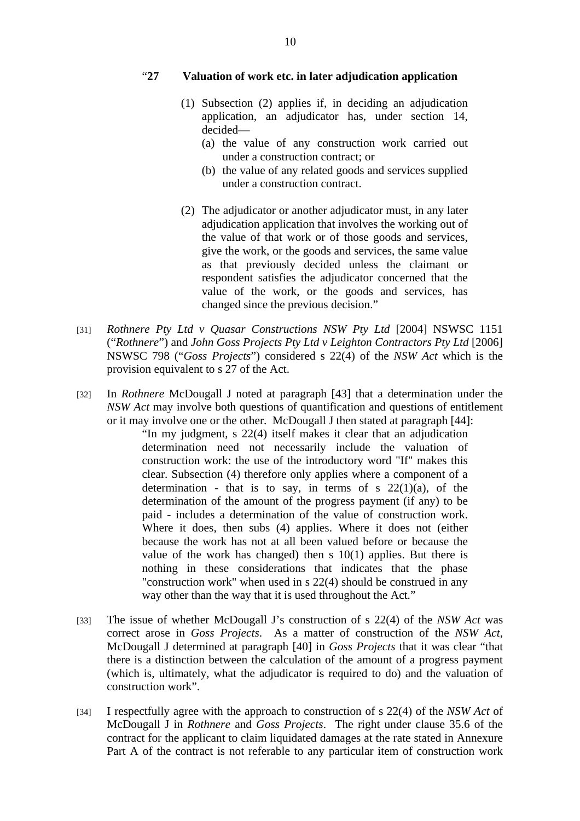#### "**27 Valuation of work etc. in later adjudication application**

- (1) Subsection (2) applies if, in deciding an adjudication application, an adjudicator has, under section 14, decided—
	- (a) the value of any construction work carried out under a construction contract; or
	- (b) the value of any related goods and services supplied under a construction contract.
- (2) The adjudicator or another adjudicator must, in any later adjudication application that involves the working out of the value of that work or of those goods and services, give the work, or the goods and services, the same value as that previously decided unless the claimant or respondent satisfies the adjudicator concerned that the value of the work, or the goods and services, has changed since the previous decision."
- [31] *Rothnere Pty Ltd v Quasar Constructions NSW Pty Ltd* [2004] NSWSC 1151 ("*Rothnere*") and *John Goss Projects Pty Ltd v Leighton Contractors Pty Ltd* [2006] NSWSC 798 ("*Goss Projects*") considered s 22(4) of the *NSW Act* which is the provision equivalent to s 27 of the Act.
- [32] In *Rothnere* McDougall J noted at paragraph [43] that a determination under the *NSW Act* may involve both questions of quantification and questions of entitlement or it may involve one or the other. McDougall J then stated at paragraph [44]:

"In my judgment, s 22(4) itself makes it clear that an adjudication determination need not necessarily include the valuation of construction work: the use of the introductory word "If" makes this clear. Subsection (4) therefore only applies where a component of a determination - that is to say, in terms of s  $22(1)(a)$ , of the determination of the amount of the progress payment (if any) to be paid - includes a determination of the value of construction work. Where it does, then subs (4) applies. Where it does not (either because the work has not at all been valued before or because the value of the work has changed) then s 10(1) applies. But there is nothing in these considerations that indicates that the phase "construction work" when used in s 22(4) should be construed in any way other than the way that it is used throughout the Act."

- [33] The issue of whether McDougall J's construction of s 22(4) of the *NSW Act* was correct arose in *Goss Projects*. As a matter of construction of the *NSW Act*, McDougall J determined at paragraph [40] in *Goss Projects* that it was clear "that there is a distinction between the calculation of the amount of a progress payment (which is, ultimately, what the adjudicator is required to do) and the valuation of construction work".
- [34] I respectfully agree with the approach to construction of s 22(4) of the *NSW Act* of McDougall J in *Rothnere* and *Goss Projects*. The right under clause 35.6 of the contract for the applicant to claim liquidated damages at the rate stated in Annexure Part A of the contract is not referable to any particular item of construction work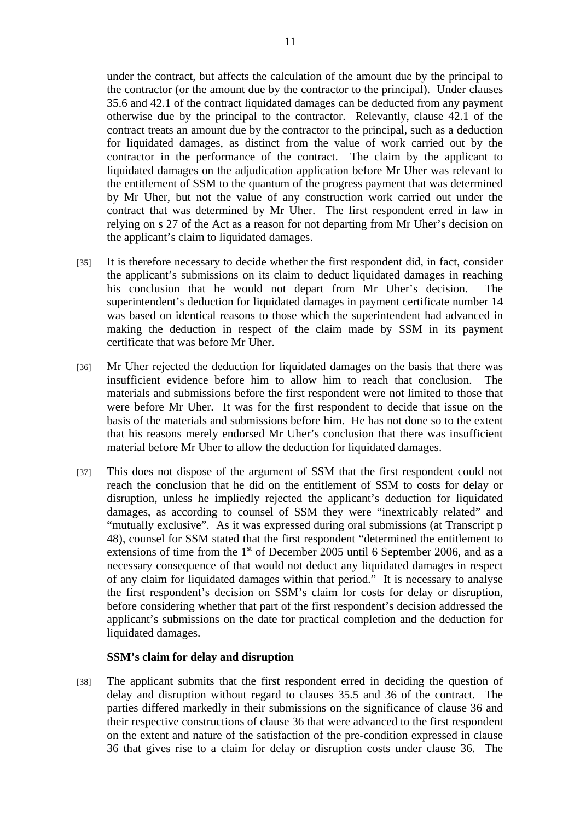under the contract, but affects the calculation of the amount due by the principal to the contractor (or the amount due by the contractor to the principal). Under clauses 35.6 and 42.1 of the contract liquidated damages can be deducted from any payment otherwise due by the principal to the contractor. Relevantly, clause 42.1 of the contract treats an amount due by the contractor to the principal, such as a deduction for liquidated damages, as distinct from the value of work carried out by the contractor in the performance of the contract. The claim by the applicant to liquidated damages on the adjudication application before Mr Uher was relevant to the entitlement of SSM to the quantum of the progress payment that was determined by Mr Uher, but not the value of any construction work carried out under the contract that was determined by Mr Uher. The first respondent erred in law in relying on s 27 of the Act as a reason for not departing from Mr Uher's decision on the applicant's claim to liquidated damages.

- [35] It is therefore necessary to decide whether the first respondent did, in fact, consider the applicant's submissions on its claim to deduct liquidated damages in reaching his conclusion that he would not depart from Mr Uher's decision. The superintendent's deduction for liquidated damages in payment certificate number 14 was based on identical reasons to those which the superintendent had advanced in making the deduction in respect of the claim made by SSM in its payment certificate that was before Mr Uher.
- [36] Mr Uher rejected the deduction for liquidated damages on the basis that there was insufficient evidence before him to allow him to reach that conclusion. The materials and submissions before the first respondent were not limited to those that were before Mr Uher. It was for the first respondent to decide that issue on the basis of the materials and submissions before him. He has not done so to the extent that his reasons merely endorsed Mr Uher's conclusion that there was insufficient material before Mr Uher to allow the deduction for liquidated damages.
- [37] This does not dispose of the argument of SSM that the first respondent could not reach the conclusion that he did on the entitlement of SSM to costs for delay or disruption, unless he impliedly rejected the applicant's deduction for liquidated damages, as according to counsel of SSM they were "inextricably related" and "mutually exclusive". As it was expressed during oral submissions (at Transcript p 48), counsel for SSM stated that the first respondent "determined the entitlement to extensions of time from the  $1<sup>st</sup>$  of December 2005 until 6 September 2006, and as a necessary consequence of that would not deduct any liquidated damages in respect of any claim for liquidated damages within that period." It is necessary to analyse the first respondent's decision on SSM's claim for costs for delay or disruption, before considering whether that part of the first respondent's decision addressed the applicant's submissions on the date for practical completion and the deduction for liquidated damages.

#### **SSM's claim for delay and disruption**

[38] The applicant submits that the first respondent erred in deciding the question of delay and disruption without regard to clauses 35.5 and 36 of the contract. The parties differed markedly in their submissions on the significance of clause 36 and their respective constructions of clause 36 that were advanced to the first respondent on the extent and nature of the satisfaction of the pre-condition expressed in clause 36 that gives rise to a claim for delay or disruption costs under clause 36. The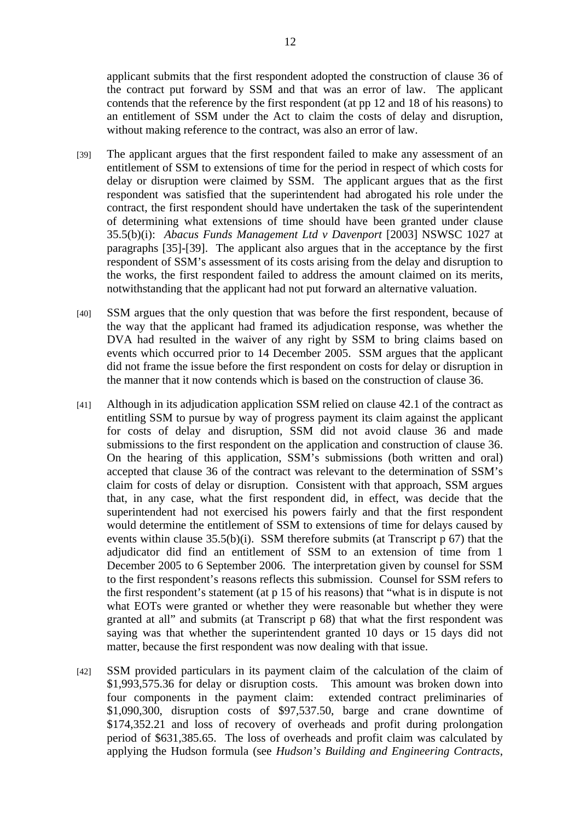applicant submits that the first respondent adopted the construction of clause 36 of the contract put forward by SSM and that was an error of law. The applicant contends that the reference by the first respondent (at pp 12 and 18 of his reasons) to an entitlement of SSM under the Act to claim the costs of delay and disruption, without making reference to the contract, was also an error of law.

- [39] The applicant argues that the first respondent failed to make any assessment of an entitlement of SSM to extensions of time for the period in respect of which costs for delay or disruption were claimed by SSM. The applicant argues that as the first respondent was satisfied that the superintendent had abrogated his role under the contract, the first respondent should have undertaken the task of the superintendent of determining what extensions of time should have been granted under clause 35.5(b)(i): *Abacus Funds Management Ltd v Davenport* [2003] NSWSC 1027 at paragraphs [35]-[39]. The applicant also argues that in the acceptance by the first respondent of SSM's assessment of its costs arising from the delay and disruption to the works, the first respondent failed to address the amount claimed on its merits, notwithstanding that the applicant had not put forward an alternative valuation.
- [40] SSM argues that the only question that was before the first respondent, because of the way that the applicant had framed its adjudication response, was whether the DVA had resulted in the waiver of any right by SSM to bring claims based on events which occurred prior to 14 December 2005. SSM argues that the applicant did not frame the issue before the first respondent on costs for delay or disruption in the manner that it now contends which is based on the construction of clause 36.
- [41] Although in its adjudication application SSM relied on clause 42.1 of the contract as entitling SSM to pursue by way of progress payment its claim against the applicant for costs of delay and disruption, SSM did not avoid clause 36 and made submissions to the first respondent on the application and construction of clause 36. On the hearing of this application, SSM's submissions (both written and oral) accepted that clause 36 of the contract was relevant to the determination of SSM's claim for costs of delay or disruption. Consistent with that approach, SSM argues that, in any case, what the first respondent did, in effect, was decide that the superintendent had not exercised his powers fairly and that the first respondent would determine the entitlement of SSM to extensions of time for delays caused by events within clause  $35.5(b)(i)$ . SSM therefore submits (at Transcript p 67) that the adjudicator did find an entitlement of SSM to an extension of time from 1 December 2005 to 6 September 2006. The interpretation given by counsel for SSM to the first respondent's reasons reflects this submission. Counsel for SSM refers to the first respondent's statement (at p 15 of his reasons) that "what is in dispute is not what EOTs were granted or whether they were reasonable but whether they were granted at all" and submits (at Transcript p 68) that what the first respondent was saying was that whether the superintendent granted 10 days or 15 days did not matter, because the first respondent was now dealing with that issue.
- [42] SSM provided particulars in its payment claim of the calculation of the claim of \$1,993,575.36 for delay or disruption costs. This amount was broken down into four components in the payment claim: extended contract preliminaries of \$1,090,300, disruption costs of \$97,537.50, barge and crane downtime of \$174,352.21 and loss of recovery of overheads and profit during prolongation period of \$631,385.65. The loss of overheads and profit claim was calculated by applying the Hudson formula (see *Hudson's Building and Engineering Contracts*,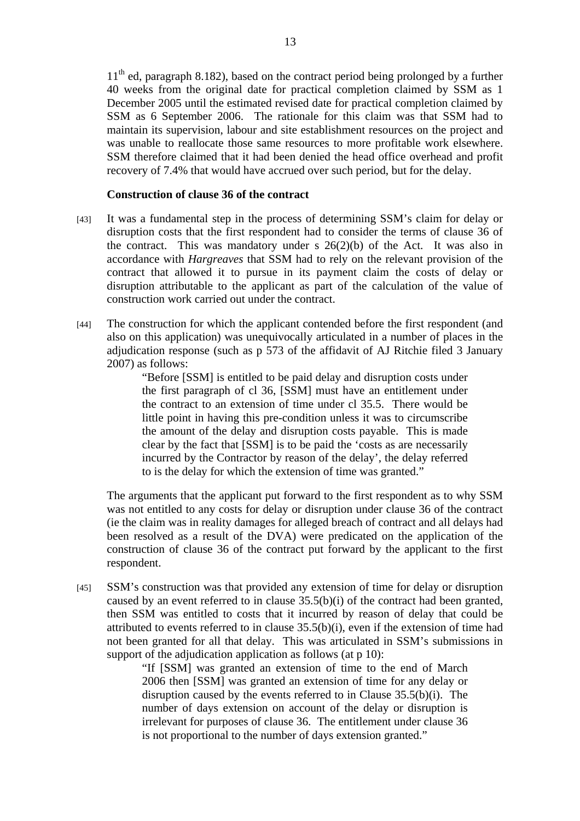$11<sup>th</sup>$  ed, paragraph 8.182), based on the contract period being prolonged by a further 40 weeks from the original date for practical completion claimed by SSM as 1 December 2005 until the estimated revised date for practical completion claimed by SSM as 6 September 2006. The rationale for this claim was that SSM had to maintain its supervision, labour and site establishment resources on the project and was unable to reallocate those same resources to more profitable work elsewhere. SSM therefore claimed that it had been denied the head office overhead and profit recovery of 7.4% that would have accrued over such period, but for the delay.

#### **Construction of clause 36 of the contract**

- [43] It was a fundamental step in the process of determining SSM's claim for delay or disruption costs that the first respondent had to consider the terms of clause 36 of the contract. This was mandatory under s  $26(2)(b)$  of the Act. It was also in accordance with *Hargreaves* that SSM had to rely on the relevant provision of the contract that allowed it to pursue in its payment claim the costs of delay or disruption attributable to the applicant as part of the calculation of the value of construction work carried out under the contract.
- [44] The construction for which the applicant contended before the first respondent (and also on this application) was unequivocally articulated in a number of places in the adjudication response (such as p 573 of the affidavit of AJ Ritchie filed 3 January 2007) as follows:

"Before [SSM] is entitled to be paid delay and disruption costs under the first paragraph of cl 36, [SSM] must have an entitlement under the contract to an extension of time under cl 35.5. There would be little point in having this pre-condition unless it was to circumscribe the amount of the delay and disruption costs payable. This is made clear by the fact that [SSM] is to be paid the 'costs as are necessarily incurred by the Contractor by reason of the delay', the delay referred to is the delay for which the extension of time was granted."

The arguments that the applicant put forward to the first respondent as to why SSM was not entitled to any costs for delay or disruption under clause 36 of the contract (ie the claim was in reality damages for alleged breach of contract and all delays had been resolved as a result of the DVA) were predicated on the application of the construction of clause 36 of the contract put forward by the applicant to the first respondent.

[45] SSM's construction was that provided any extension of time for delay or disruption caused by an event referred to in clause 35.5(b)(i) of the contract had been granted, then SSM was entitled to costs that it incurred by reason of delay that could be attributed to events referred to in clause 35.5(b)(i), even if the extension of time had not been granted for all that delay. This was articulated in SSM's submissions in support of the adjudication application as follows (at p 10):

> "If [SSM] was granted an extension of time to the end of March 2006 then [SSM] was granted an extension of time for any delay or disruption caused by the events referred to in Clause 35.5(b)(i). The number of days extension on account of the delay or disruption is irrelevant for purposes of clause 36. The entitlement under clause 36 is not proportional to the number of days extension granted."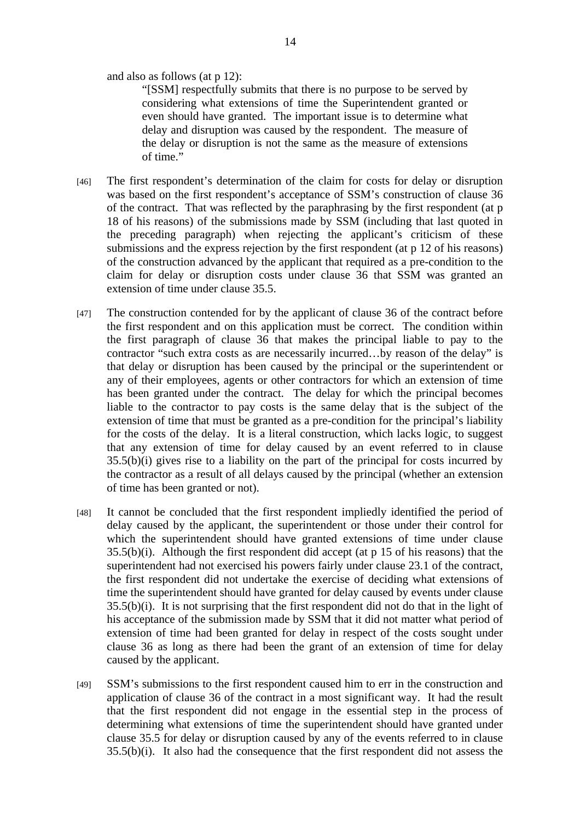and also as follows (at p 12):

"[SSM] respectfully submits that there is no purpose to be served by considering what extensions of time the Superintendent granted or even should have granted. The important issue is to determine what delay and disruption was caused by the respondent. The measure of the delay or disruption is not the same as the measure of extensions of time."

- [46] The first respondent's determination of the claim for costs for delay or disruption was based on the first respondent's acceptance of SSM's construction of clause 36 of the contract. That was reflected by the paraphrasing by the first respondent (at p 18 of his reasons) of the submissions made by SSM (including that last quoted in the preceding paragraph) when rejecting the applicant's criticism of these submissions and the express rejection by the first respondent (at p 12 of his reasons) of the construction advanced by the applicant that required as a pre-condition to the claim for delay or disruption costs under clause 36 that SSM was granted an extension of time under clause 35.5.
- [47] The construction contended for by the applicant of clause 36 of the contract before the first respondent and on this application must be correct. The condition within the first paragraph of clause 36 that makes the principal liable to pay to the contractor "such extra costs as are necessarily incurred…by reason of the delay" is that delay or disruption has been caused by the principal or the superintendent or any of their employees, agents or other contractors for which an extension of time has been granted under the contract. The delay for which the principal becomes liable to the contractor to pay costs is the same delay that is the subject of the extension of time that must be granted as a pre-condition for the principal's liability for the costs of the delay. It is a literal construction, which lacks logic, to suggest that any extension of time for delay caused by an event referred to in clause 35.5(b)(i) gives rise to a liability on the part of the principal for costs incurred by the contractor as a result of all delays caused by the principal (whether an extension of time has been granted or not).
- [48] It cannot be concluded that the first respondent impliedly identified the period of delay caused by the applicant, the superintendent or those under their control for which the superintendent should have granted extensions of time under clause 35.5(b)(i). Although the first respondent did accept (at p 15 of his reasons) that the superintendent had not exercised his powers fairly under clause 23.1 of the contract, the first respondent did not undertake the exercise of deciding what extensions of time the superintendent should have granted for delay caused by events under clause 35.5(b)(i). It is not surprising that the first respondent did not do that in the light of his acceptance of the submission made by SSM that it did not matter what period of extension of time had been granted for delay in respect of the costs sought under clause 36 as long as there had been the grant of an extension of time for delay caused by the applicant.
- [49] SSM's submissions to the first respondent caused him to err in the construction and application of clause 36 of the contract in a most significant way. It had the result that the first respondent did not engage in the essential step in the process of determining what extensions of time the superintendent should have granted under clause 35.5 for delay or disruption caused by any of the events referred to in clause 35.5(b)(i). It also had the consequence that the first respondent did not assess the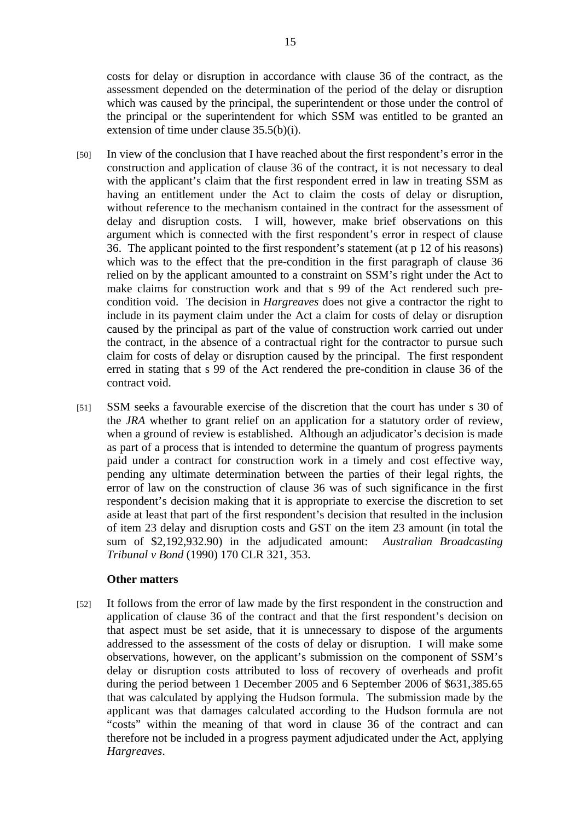costs for delay or disruption in accordance with clause 36 of the contract, as the assessment depended on the determination of the period of the delay or disruption which was caused by the principal, the superintendent or those under the control of the principal or the superintendent for which SSM was entitled to be granted an extension of time under clause 35.5(b)(i).

- [50] In view of the conclusion that I have reached about the first respondent's error in the construction and application of clause 36 of the contract, it is not necessary to deal with the applicant's claim that the first respondent erred in law in treating SSM as having an entitlement under the Act to claim the costs of delay or disruption, without reference to the mechanism contained in the contract for the assessment of delay and disruption costs. I will, however, make brief observations on this argument which is connected with the first respondent's error in respect of clause 36. The applicant pointed to the first respondent's statement (at p 12 of his reasons) which was to the effect that the pre-condition in the first paragraph of clause 36 relied on by the applicant amounted to a constraint on SSM's right under the Act to make claims for construction work and that s 99 of the Act rendered such precondition void. The decision in *Hargreaves* does not give a contractor the right to include in its payment claim under the Act a claim for costs of delay or disruption caused by the principal as part of the value of construction work carried out under the contract, in the absence of a contractual right for the contractor to pursue such claim for costs of delay or disruption caused by the principal. The first respondent erred in stating that s 99 of the Act rendered the pre-condition in clause 36 of the contract void.
- [51] SSM seeks a favourable exercise of the discretion that the court has under s 30 of the *JRA* whether to grant relief on an application for a statutory order of review, when a ground of review is established. Although an adjudicator's decision is made as part of a process that is intended to determine the quantum of progress payments paid under a contract for construction work in a timely and cost effective way, pending any ultimate determination between the parties of their legal rights, the error of law on the construction of clause 36 was of such significance in the first respondent's decision making that it is appropriate to exercise the discretion to set aside at least that part of the first respondent's decision that resulted in the inclusion of item 23 delay and disruption costs and GST on the item 23 amount (in total the sum of \$2,192,932.90) in the adjudicated amount: *Australian Broadcasting Tribunal v Bond* (1990) 170 CLR 321, 353.

#### **Other matters**

[52] It follows from the error of law made by the first respondent in the construction and application of clause 36 of the contract and that the first respondent's decision on that aspect must be set aside, that it is unnecessary to dispose of the arguments addressed to the assessment of the costs of delay or disruption. I will make some observations, however, on the applicant's submission on the component of SSM's delay or disruption costs attributed to loss of recovery of overheads and profit during the period between 1 December 2005 and 6 September 2006 of \$631,385.65 that was calculated by applying the Hudson formula. The submission made by the applicant was that damages calculated according to the Hudson formula are not "costs" within the meaning of that word in clause 36 of the contract and can therefore not be included in a progress payment adjudicated under the Act, applying *Hargreaves*.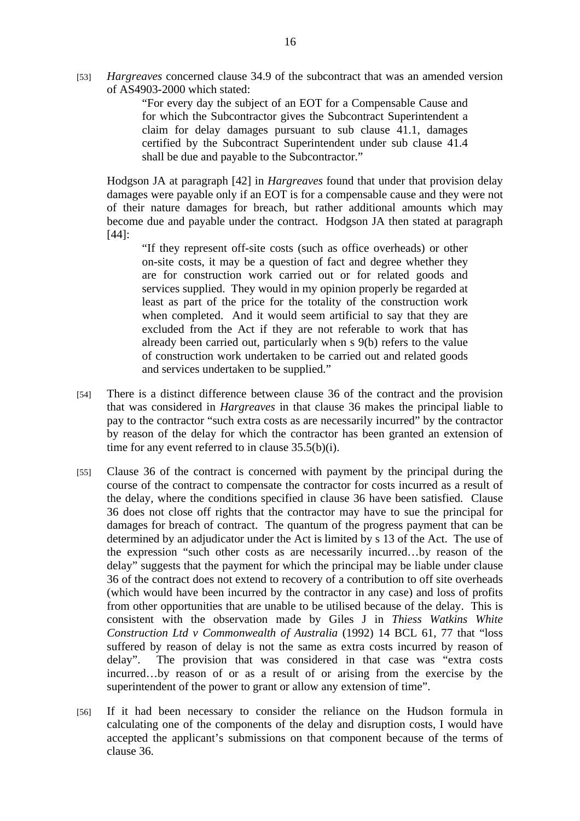[53] *Hargreaves* concerned clause 34.9 of the subcontract that was an amended version of AS4903-2000 which stated:

> "For every day the subject of an EOT for a Compensable Cause and for which the Subcontractor gives the Subcontract Superintendent a claim for delay damages pursuant to sub clause 41.1, damages certified by the Subcontract Superintendent under sub clause 41.4 shall be due and payable to the Subcontractor."

 Hodgson JA at paragraph [42] in *Hargreaves* found that under that provision delay damages were payable only if an EOT is for a compensable cause and they were not of their nature damages for breach, but rather additional amounts which may become due and payable under the contract. Hodgson JA then stated at paragraph [44]:

"If they represent off-site costs (such as office overheads) or other on-site costs, it may be a question of fact and degree whether they are for construction work carried out or for related goods and services supplied. They would in my opinion properly be regarded at least as part of the price for the totality of the construction work when completed. And it would seem artificial to say that they are excluded from the Act if they are not referable to work that has already been carried out, particularly when s 9(b) refers to the value of construction work undertaken to be carried out and related goods and services undertaken to be supplied."

- [54] There is a distinct difference between clause 36 of the contract and the provision that was considered in *Hargreaves* in that clause 36 makes the principal liable to pay to the contractor "such extra costs as are necessarily incurred" by the contractor by reason of the delay for which the contractor has been granted an extension of time for any event referred to in clause  $35.5(b)(i)$ .
- [55] Clause 36 of the contract is concerned with payment by the principal during the course of the contract to compensate the contractor for costs incurred as a result of the delay, where the conditions specified in clause 36 have been satisfied. Clause 36 does not close off rights that the contractor may have to sue the principal for damages for breach of contract. The quantum of the progress payment that can be determined by an adjudicator under the Act is limited by s 13 of the Act. The use of the expression "such other costs as are necessarily incurred…by reason of the delay" suggests that the payment for which the principal may be liable under clause 36 of the contract does not extend to recovery of a contribution to off site overheads (which would have been incurred by the contractor in any case) and loss of profits from other opportunities that are unable to be utilised because of the delay. This is consistent with the observation made by Giles J in *Thiess Watkins White Construction Ltd v Commonwealth of Australia* (1992) 14 BCL 61, 77 that "loss suffered by reason of delay is not the same as extra costs incurred by reason of delay". The provision that was considered in that case was "extra costs incurred…by reason of or as a result of or arising from the exercise by the superintendent of the power to grant or allow any extension of time".
- [56] If it had been necessary to consider the reliance on the Hudson formula in calculating one of the components of the delay and disruption costs, I would have accepted the applicant's submissions on that component because of the terms of clause 36.